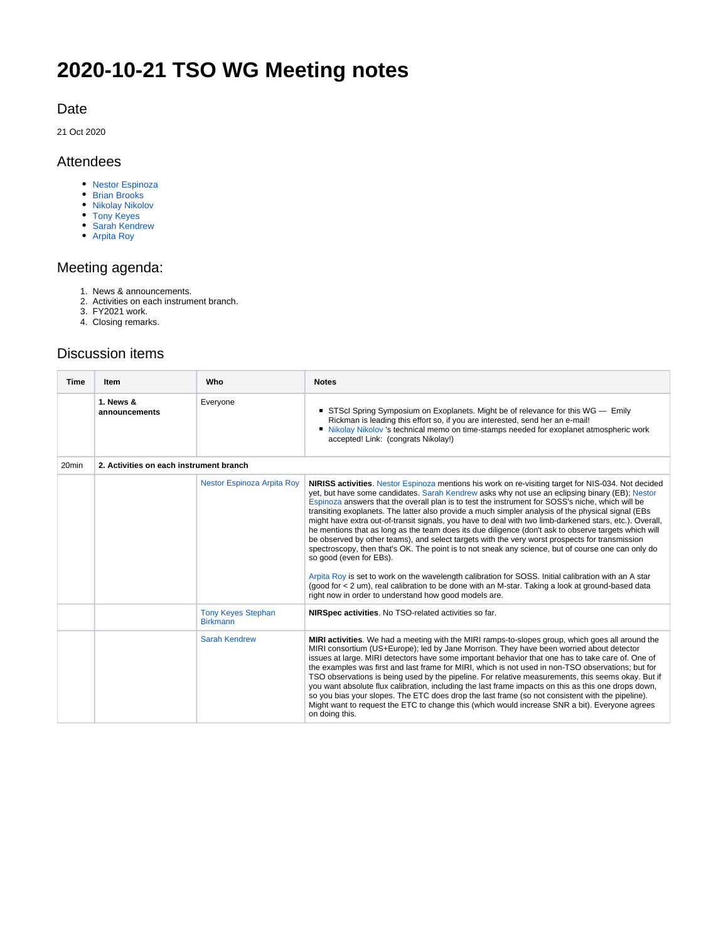# **2020-10-21 TSO WG Meeting notes**

#### Date

21 Oct 2020

#### Attendees

- [Nestor Espinoza](https://outerspace.stsci.edu/display/~nespinoza)
- [Brian Brooks](https://outerspace.stsci.edu/display/~bbrooks)
- [Nikolay Nikolov](https://outerspace.stsci.edu/display/~nnikolov)
- [Tony Keyes](https://outerspace.stsci.edu/display/~keyes) [Sarah Kendrew](https://outerspace.stsci.edu/display/~skendrew)
- [Arpita Roy](https://outerspace.stsci.edu/display/~aroy)

### Meeting agenda:

- 1. News & announcements.
- 2. Activities on each instrument branch.
- 3. FY2021 work.
- 4. Closing remarks.

## Discussion items

| <b>Time</b>       | Item                       | Who                                          | <b>Notes</b>                                                                                                                                                                                                                                                                                                                                                                                                                                                                                                                                                                                                                                                                                                                                                                                                                                                                                                                                                                                                                                                                                                                                |  |
|-------------------|----------------------------|----------------------------------------------|---------------------------------------------------------------------------------------------------------------------------------------------------------------------------------------------------------------------------------------------------------------------------------------------------------------------------------------------------------------------------------------------------------------------------------------------------------------------------------------------------------------------------------------------------------------------------------------------------------------------------------------------------------------------------------------------------------------------------------------------------------------------------------------------------------------------------------------------------------------------------------------------------------------------------------------------------------------------------------------------------------------------------------------------------------------------------------------------------------------------------------------------|--|
|                   | 1. News &<br>announcements | Everyone                                     | STScl Spring Symposium on Exoplanets. Might be of relevance for this WG - Emily<br>Rickman is leading this effort so, if you are interested, send her an e-mail!<br>Initially Nikolay Nikolov 's technical memo on time-stamps needed for exoplanet atmospheric work<br>accepted! Link: (congrats Nikolay!)                                                                                                                                                                                                                                                                                                                                                                                                                                                                                                                                                                                                                                                                                                                                                                                                                                 |  |
| 20 <sub>min</sub> |                            | 2. Activities on each instrument branch      |                                                                                                                                                                                                                                                                                                                                                                                                                                                                                                                                                                                                                                                                                                                                                                                                                                                                                                                                                                                                                                                                                                                                             |  |
|                   |                            | <b>Nestor Espinoza Arpita Roy</b>            | NIRISS activities. Nestor Espinoza mentions his work on re-visiting target for NIS-034. Not decided<br>yet, but have some candidates. Sarah Kendrew asks why not use an eclipsing binary (EB); Nestor<br>Espinoza answers that the overall plan is to test the instrument for SOSS's niche, which will be<br>transiting exoplanets. The latter also provide a much simpler analysis of the physical signal (EBs<br>might have extra out-of-transit signals, you have to deal with two limb-darkened stars, etc.). Overall,<br>he mentions that as long as the team does its due diligence (don't ask to observe targets which will<br>be observed by other teams), and select targets with the very worst prospects for transmission<br>spectroscopy, then that's OK. The point is to not sneak any science, but of course one can only do<br>so good (even for EBs).<br>Arpita Roy is set to work on the wavelength calibration for SOSS. Initial calibration with an A star<br>(good for < 2 um), real calibration to be done with an M-star. Taking a look at ground-based data<br>right now in order to understand how good models are. |  |
|                   |                            | <b>Tony Keyes Stephan</b><br><b>Birkmann</b> | NIRSpec activities. No TSO-related activities so far.                                                                                                                                                                                                                                                                                                                                                                                                                                                                                                                                                                                                                                                                                                                                                                                                                                                                                                                                                                                                                                                                                       |  |
|                   |                            | <b>Sarah Kendrew</b>                         | MIRI activities. We had a meeting with the MIRI ramps-to-slopes group, which goes all around the<br>MIRI consortium (US+Europe); led by Jane Morrison. They have been worried about detector<br>issues at large. MIRI detectors have some important behavior that one has to take care of. One of<br>the examples was first and last frame for MIRI, which is not used in non-TSO observations; but for<br>TSO observations is being used by the pipeline. For relative measurements, this seems okay. But if<br>you want absolute flux calibration, including the last frame impacts on this as this one drops down,<br>so you bias your slopes. The ETC does drop the last frame (so not consistent with the pipeline).<br>Might want to request the ETC to change this (which would increase SNR a bit). Everyone agrees<br>on doing this.                                                                                                                                                                                                                                                                                               |  |